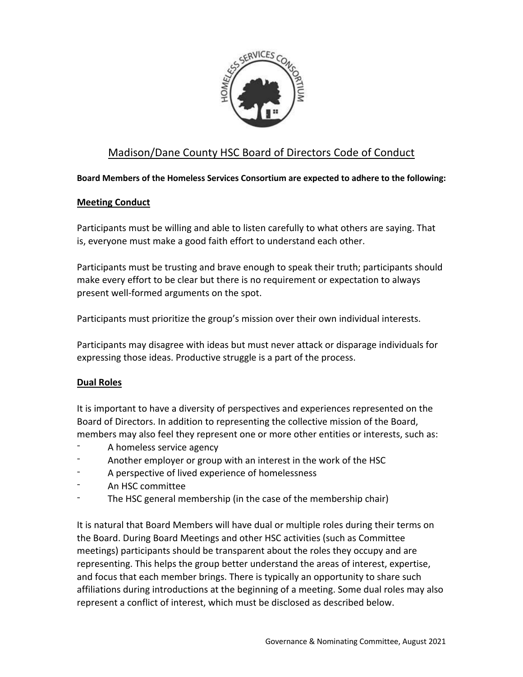

# Madison/Dane County HSC Board of Directors Code of Conduct

#### **Board Members of the Homeless Services Consortium are expected to adhere to the following:**

#### **Meeting Conduct**

Participants must be willing and able to listen carefully to what others are saying. That is, everyone must make a good faith effort to understand each other.

Participants must be trusting and brave enough to speak their truth; participants should make every effort to be clear but there is no requirement or expectation to always present well-formed arguments on the spot.

Participants must prioritize the group's mission over their own individual interests.

Participants may disagree with ideas but must never attack or disparage individuals for expressing those ideas. Productive struggle is a part of the process.

# **Dual Roles**

It is important to have a diversity of perspectives and experiences represented on the Board of Directors. In addition to representing the collective mission of the Board, members may also feel they represent one or more other entities or interests, such as:

- A homeless service agency
- Another employer or group with an interest in the work of the HSC
- A perspective of lived experience of homelessness
- An HSC committee
- The HSC general membership (in the case of the membership chair)

It is natural that Board Members will have dual or multiple roles during their terms on the Board. During Board Meetings and other HSC activities (such as Committee meetings) participants should be transparent about the roles they occupy and are representing. This helps the group better understand the areas of interest, expertise, and focus that each member brings. There is typically an opportunity to share such affiliations during introductions at the beginning of a meeting. Some dual roles may also represent a conflict of interest, which must be disclosed as described below.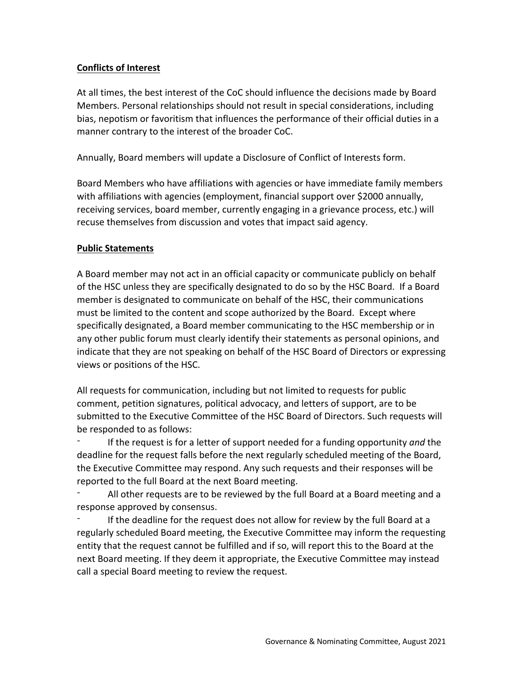## **Conflicts of Interest**

At all times, the best interest of the CoC should influence the decisions made by Board Members. Personal relationships should not result in special considerations, including bias, nepotism or favoritism that influences the performance of their official duties in a manner contrary to the interest of the broader CoC.

Annually, Board members will update a Disclosure of Conflict of Interests form.

Board Members who have affiliations with agencies or have immediate family members with affiliations with agencies (employment, financial support over \$2000 annually, receiving services, board member, currently engaging in a grievance process, etc.) will recuse themselves from discussion and votes that impact said agency.

#### **Public Statements**

A Board member may not act in an official capacity or communicate publicly on behalf of the HSC unless they are specifically designated to do so by the HSC Board. If a Board member is designated to communicate on behalf of the HSC, their communications must be limited to the content and scope authorized by the Board. Except where specifically designated, a Board member communicating to the HSC membership or in any other public forum must clearly identify their statements as personal opinions, and indicate that they are not speaking on behalf of the HSC Board of Directors or expressing views or positions of the HSC.

All requests for communication, including but not limited to requests for public comment, petition signatures, political advocacy, and letters of support, are to be submitted to the Executive Committee of the HSC Board of Directors. Such requests will be responded to as follows:

If the request is for a letter of support needed for a funding opportunity *and* the deadline for the request falls before the next regularly scheduled meeting of the Board, the Executive Committee may respond. Any such requests and their responses will be reported to the full Board at the next Board meeting.

All other requests are to be reviewed by the full Board at a Board meeting and a response approved by consensus.

If the deadline for the request does not allow for review by the full Board at a regularly scheduled Board meeting, the Executive Committee may inform the requesting entity that the request cannot be fulfilled and if so, will report this to the Board at the next Board meeting. If they deem it appropriate, the Executive Committee may instead call a special Board meeting to review the request.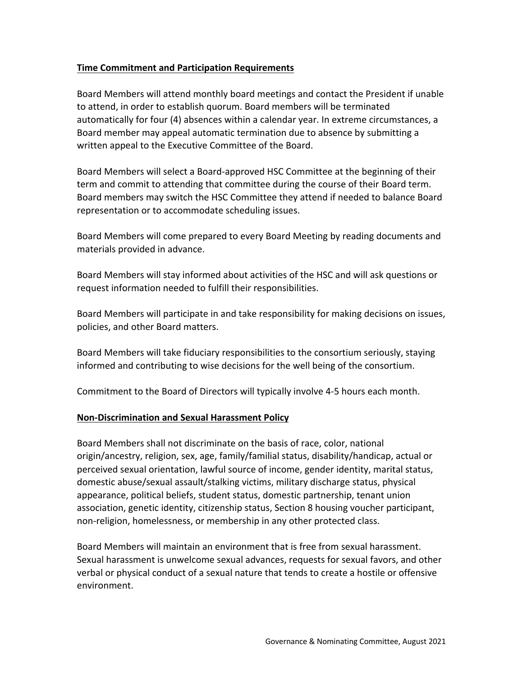## **Time Commitment and Participation Requirements**

Board Members will attend monthly board meetings and contact the President if unable to attend, in order to establish quorum. Board members will be terminated automatically for four (4) absences within a calendar year. In extreme circumstances, a Board member may appeal automatic termination due to absence by submitting a written appeal to the Executive Committee of the Board.

Board Members will select a Board-approved HSC Committee at the beginning of their term and commit to attending that committee during the course of their Board term. Board members may switch the HSC Committee they attend if needed to balance Board representation or to accommodate scheduling issues.

Board Members will come prepared to every Board Meeting by reading documents and materials provided in advance.

Board Members will stay informed about activities of the HSC and will ask questions or request information needed to fulfill their responsibilities.

Board Members will participate in and take responsibility for making decisions on issues, policies, and other Board matters.

Board Members will take fiduciary responsibilities to the consortium seriously, staying informed and contributing to wise decisions for the well being of the consortium.

Commitment to the Board of Directors will typically involve 4-5 hours each month.

#### **Non-Discrimination and Sexual Harassment Policy**

Board Members shall not discriminate on the basis of race, color, national origin/ancestry, religion, sex, age, family/familial status, disability/handicap, actual or perceived sexual orientation, lawful source of income, gender identity, marital status, domestic abuse/sexual assault/stalking victims, military discharge status, physical appearance, political beliefs, student status, domestic partnership, tenant union association, genetic identity, citizenship status, Section 8 housing voucher participant, non-religion, homelessness, or membership in any other protected class.

Board Members will maintain an environment that is free from sexual harassment. Sexual harassment is unwelcome sexual advances, requests for sexual favors, and other verbal or physical conduct of a sexual nature that tends to create a hostile or offensive environment.